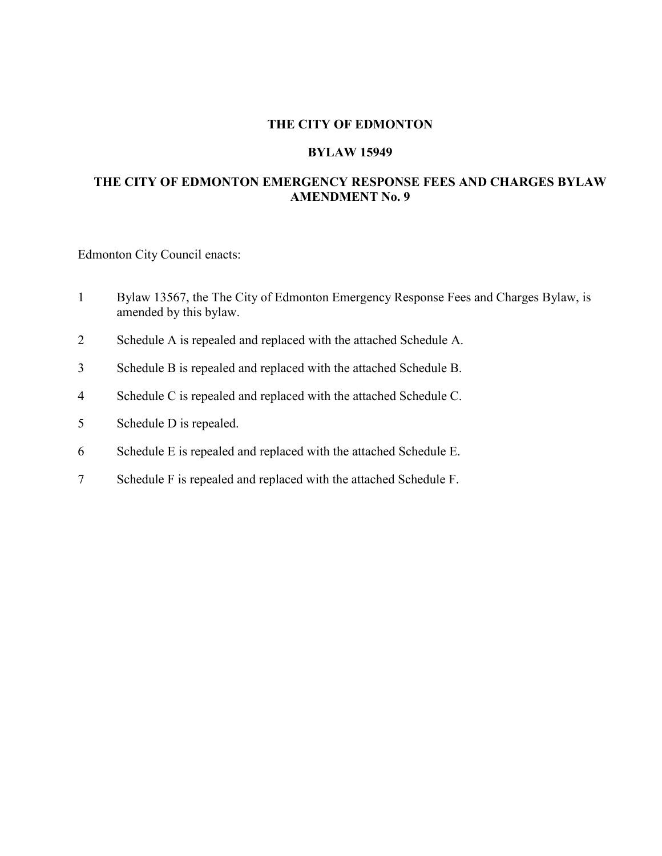#### **THE CITY OF EDMONTON**

#### **BYLAW 15949**

#### **THE CITY OF EDMONTON EMERGENCY RESPONSE FEES AND CHARGES BYLAW AMENDMENT No. 9**

Edmonton City Council enacts:

- 1 Bylaw 13567, the The City of Edmonton Emergency Response Fees and Charges Bylaw, is amended by this bylaw.
- 2 Schedule A is repealed and replaced with the attached Schedule A.
- 3 Schedule B is repealed and replaced with the attached Schedule B.
- 4 Schedule C is repealed and replaced with the attached Schedule C.
- 5 Schedule D is repealed.
- 6 Schedule E is repealed and replaced with the attached Schedule E.
- 7 Schedule F is repealed and replaced with the attached Schedule F.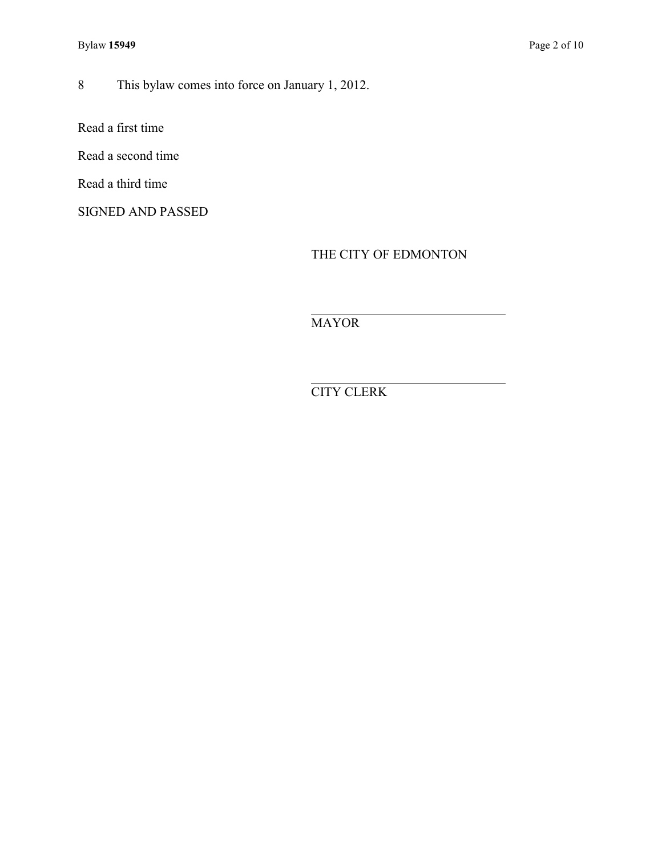8 This bylaw comes into force on January 1, 2012.

Read a first time

Read a second time

Read a third time

SIGNED AND PASSED

THE CITY OF EDMONTON

MAYOR

 $\overline{a}$ 

 $\overline{a}$ CITY CLERK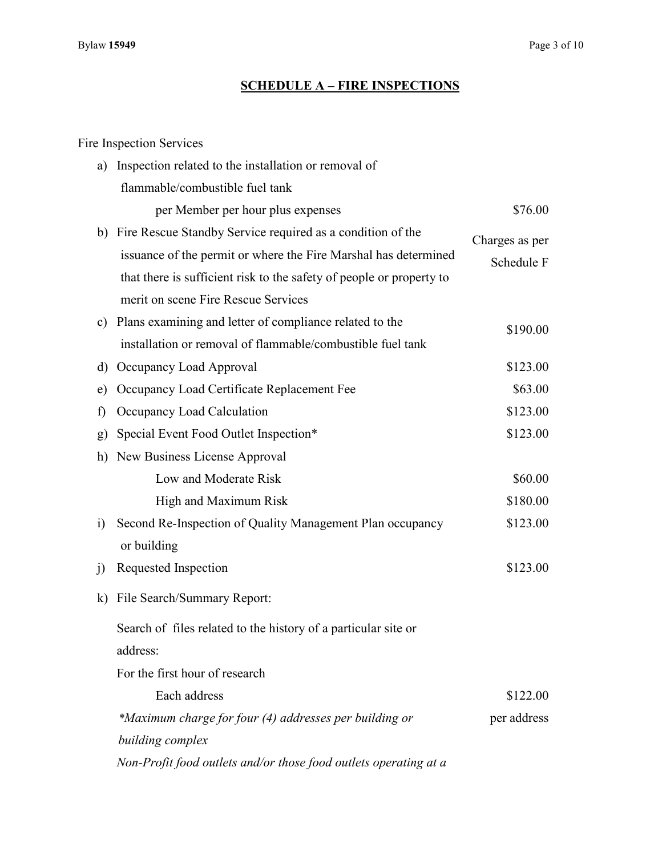## **SCHEDULE A – FIRE INSPECTIONS**

Fire Inspection Services

| a)             | Inspection related to the installation or removal of                 |                |  |
|----------------|----------------------------------------------------------------------|----------------|--|
|                | flammable/combustible fuel tank                                      |                |  |
|                | per Member per hour plus expenses                                    | \$76.00        |  |
| b)             | Fire Rescue Standby Service required as a condition of the           | Charges as per |  |
|                | issuance of the permit or where the Fire Marshal has determined      | Schedule F     |  |
|                | that there is sufficient risk to the safety of people or property to |                |  |
|                | merit on scene Fire Rescue Services                                  |                |  |
| c)             | Plans examining and letter of compliance related to the              | \$190.00       |  |
|                | installation or removal of flammable/combustible fuel tank           |                |  |
| d)             | Occupancy Load Approval                                              | \$123.00       |  |
| e)             | Occupancy Load Certificate Replacement Fee                           | \$63.00        |  |
| f)             | Occupancy Load Calculation                                           | \$123.00       |  |
| g)             | Special Event Food Outlet Inspection*                                | \$123.00       |  |
| h)             | New Business License Approval                                        |                |  |
|                | Low and Moderate Risk                                                | \$60.00        |  |
|                | High and Maximum Risk                                                | \$180.00       |  |
| $\overline{1}$ | Second Re-Inspection of Quality Management Plan occupancy            | \$123.00       |  |
|                | or building                                                          |                |  |
| $\mathbf{J}$   | Requested Inspection                                                 | \$123.00       |  |
| $\bf k)$       | File Search/Summary Report:                                          |                |  |
|                | Search of files related to the history of a particular site or       |                |  |
|                | address:                                                             |                |  |
|                | For the first hour of research                                       |                |  |
|                | Each address                                                         | \$122.00       |  |
|                | *Maximum charge for four (4) addresses per building or               | per address    |  |
|                | building complex                                                     |                |  |
|                | Non-Profit food outlets and/or those food outlets operating at a     |                |  |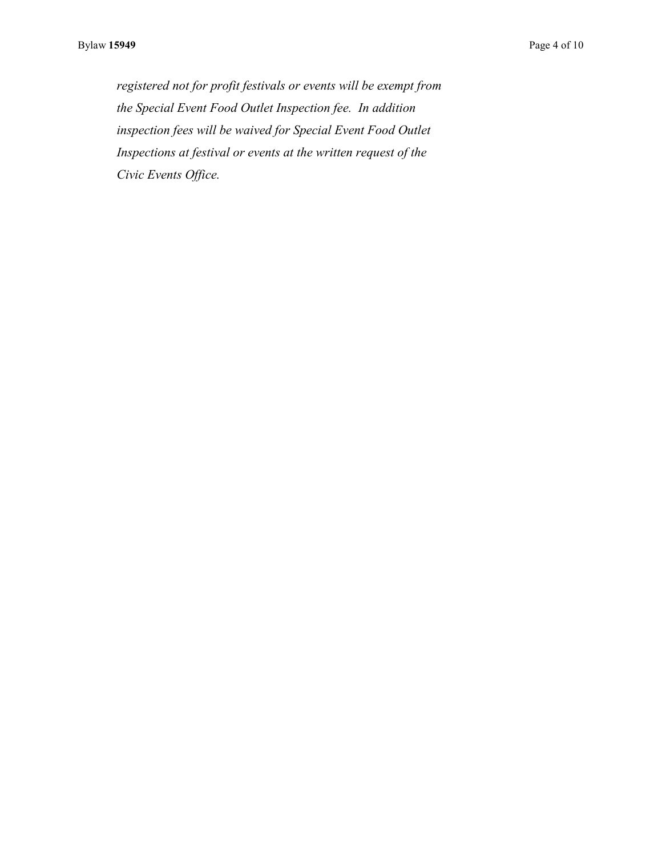*registered not for profit festivals or events will be exempt from the Special Event Food Outlet Inspection fee. In addition inspection fees will be waived for Special Event Food Outlet Inspections at festival or events at the written request of the Civic Events Office.*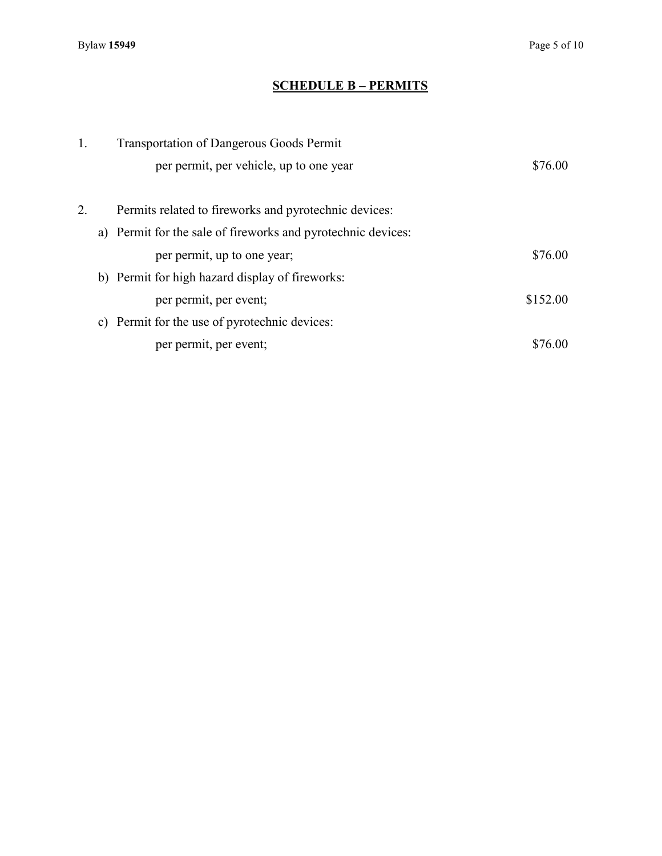## **SCHEDULE B – PERMITS**

| 1. | <b>Transportation of Dangerous Goods Permit</b>              |          |  |
|----|--------------------------------------------------------------|----------|--|
|    | per permit, per vehicle, up to one year                      | \$76.00  |  |
| 2. | Permits related to fireworks and pyrotechnic devices:        |          |  |
|    | a) Permit for the sale of fireworks and pyrotechnic devices: |          |  |
|    | per permit, up to one year;                                  | \$76.00  |  |
|    | b) Permit for high hazard display of fireworks:              |          |  |
|    | per permit, per event;                                       | \$152.00 |  |
|    | c) Permit for the use of pyrotechnic devices:                |          |  |
|    | per permit, per event;                                       | (6.00)   |  |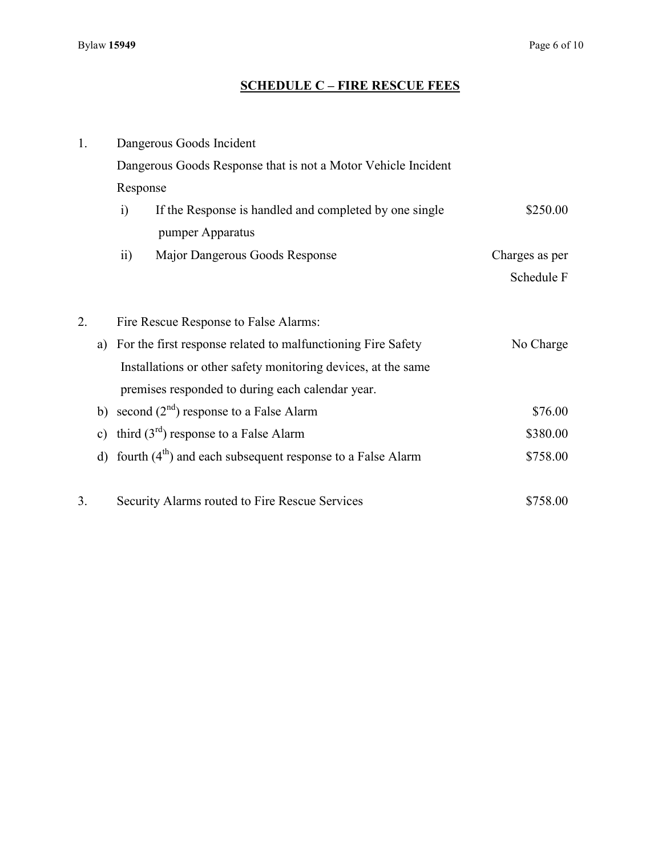## **SCHEDULE C – FIRE RESCUE FEES**

| 1. | Dangerous Goods Incident                                             |                |  |  |
|----|----------------------------------------------------------------------|----------------|--|--|
|    | Dangerous Goods Response that is not a Motor Vehicle Incident        |                |  |  |
|    | Response                                                             |                |  |  |
|    | If the Response is handled and completed by one single<br>$\ddot{1}$ | \$250.00       |  |  |
|    | pumper Apparatus                                                     |                |  |  |
|    | $\overline{ii}$<br>Major Dangerous Goods Response                    | Charges as per |  |  |
|    |                                                                      | Schedule F     |  |  |
| 2. | Fire Rescue Response to False Alarms:                                |                |  |  |
|    | a) For the first response related to malfunctioning Fire Safety      | No Charge      |  |  |
|    | Installations or other safety monitoring devices, at the same        |                |  |  |
|    | premises responded to during each calendar year.                     |                |  |  |
|    | b) second $(2nd)$ response to a False Alarm                          | \$76.00        |  |  |
|    | c) third $(3rd)$ response to a False Alarm                           | \$380.00       |  |  |
|    | d) fourth $(4th)$ and each subsequent response to a False Alarm      | \$758.00       |  |  |
| 3. | Security Alarms routed to Fire Rescue Services                       | \$758.00       |  |  |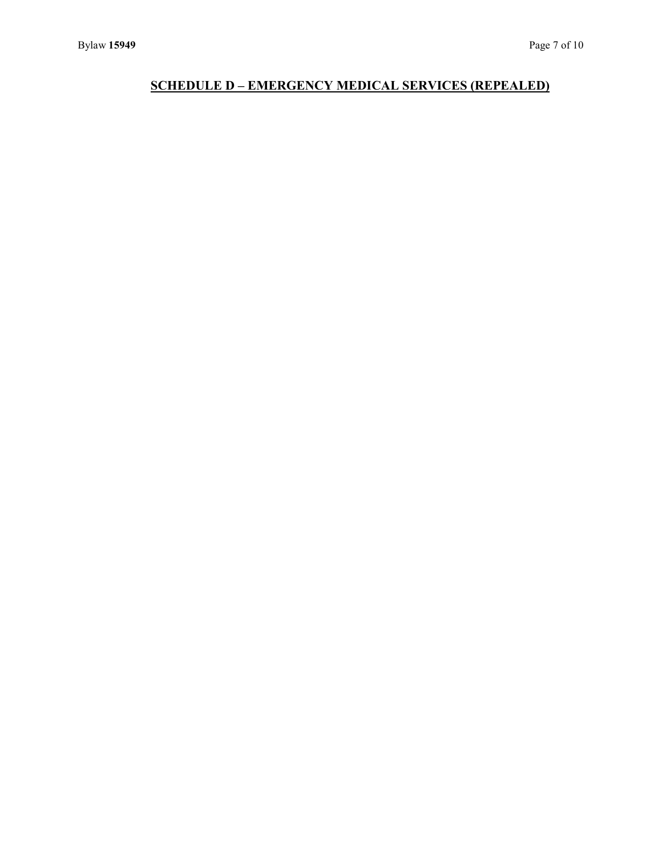# **SCHEDULE D – EMERGENCY MEDICAL SERVICES (REPEALED)**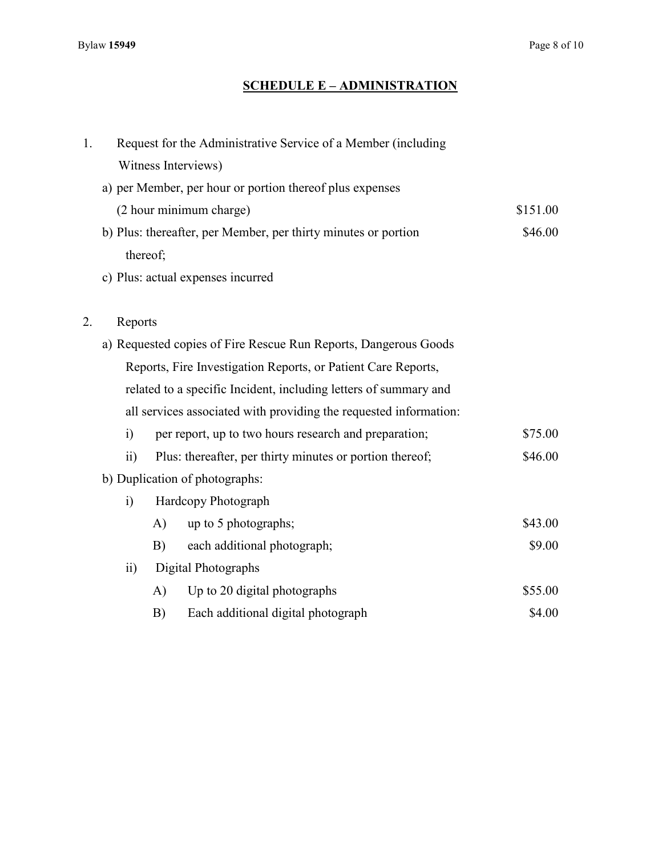## **SCHEDULE E – ADMINISTRATION**

| 1. | Request for the Administrative Service of a Member (including     |                                   |                                                                |          |  |  |
|----|-------------------------------------------------------------------|-----------------------------------|----------------------------------------------------------------|----------|--|--|
|    | Witness Interviews)                                               |                                   |                                                                |          |  |  |
|    |                                                                   |                                   | a) per Member, per hour or portion thereof plus expenses       |          |  |  |
|    |                                                                   |                                   | (2 hour minimum charge)                                        | \$151.00 |  |  |
|    |                                                                   |                                   | b) Plus: thereafter, per Member, per thirty minutes or portion | \$46.00  |  |  |
|    | thereof;                                                          |                                   |                                                                |          |  |  |
|    |                                                                   | c) Plus: actual expenses incurred |                                                                |          |  |  |
|    |                                                                   |                                   |                                                                |          |  |  |
| 2. | Reports                                                           |                                   |                                                                |          |  |  |
|    | a) Requested copies of Fire Rescue Run Reports, Dangerous Goods   |                                   |                                                                |          |  |  |
|    | Reports, Fire Investigation Reports, or Patient Care Reports,     |                                   |                                                                |          |  |  |
|    | related to a specific Incident, including letters of summary and  |                                   |                                                                |          |  |  |
|    | all services associated with providing the requested information: |                                   |                                                                |          |  |  |
|    | $\ddot{i}$                                                        |                                   | per report, up to two hours research and preparation;          | \$75.00  |  |  |
|    | $\overline{ii}$                                                   |                                   | Plus: thereafter, per thirty minutes or portion thereof;       | \$46.00  |  |  |
|    | b) Duplication of photographs:                                    |                                   |                                                                |          |  |  |
|    | i)                                                                |                                   |                                                                |          |  |  |
|    |                                                                   | $\bf{A}$                          | up to 5 photographs;                                           | \$43.00  |  |  |
|    |                                                                   | B)                                | each additional photograph;                                    | \$9.00   |  |  |
|    | $\overline{ii}$                                                   | Digital Photographs               |                                                                |          |  |  |
|    |                                                                   | A)                                | Up to 20 digital photographs                                   | \$55.00  |  |  |
|    |                                                                   | B)                                | Each additional digital photograph                             | \$4.00   |  |  |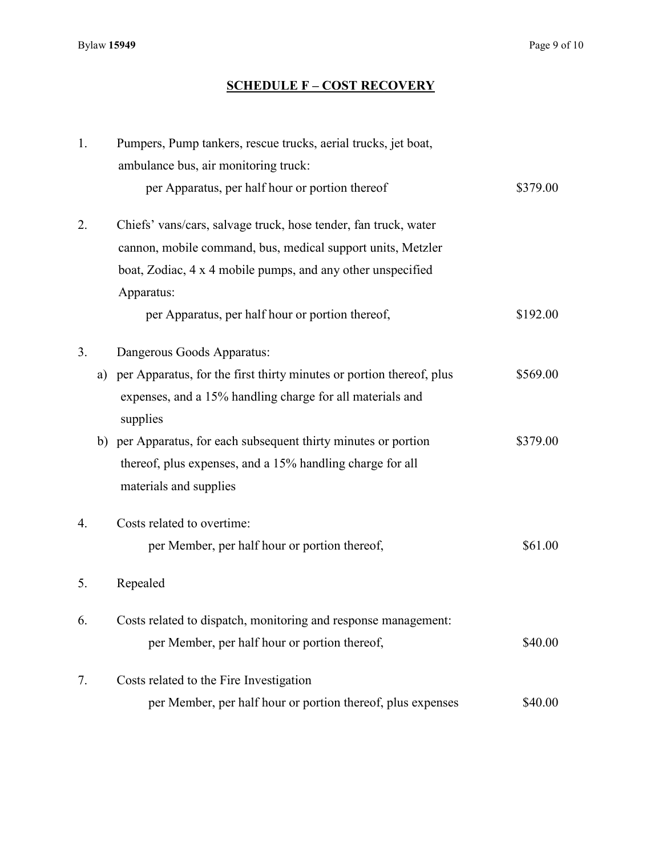# **SCHEDULE F – COST RECOVERY**

| 1. |    | Pumpers, Pump tankers, rescue trucks, aerial trucks, jet boat,       |          |
|----|----|----------------------------------------------------------------------|----------|
|    |    | ambulance bus, air monitoring truck:                                 |          |
|    |    | per Apparatus, per half hour or portion thereof                      | \$379.00 |
| 2. |    | Chiefs' vans/cars, salvage truck, hose tender, fan truck, water      |          |
|    |    | cannon, mobile command, bus, medical support units, Metzler          |          |
|    |    | boat, Zodiac, 4 x 4 mobile pumps, and any other unspecified          |          |
|    |    | Apparatus:                                                           |          |
|    |    | per Apparatus, per half hour or portion thereof,                     | \$192.00 |
| 3. |    | Dangerous Goods Apparatus:                                           |          |
|    | a) | per Apparatus, for the first thirty minutes or portion thereof, plus | \$569.00 |
|    |    | expenses, and a 15% handling charge for all materials and            |          |
|    |    | supplies                                                             |          |
|    |    | b) per Apparatus, for each subsequent thirty minutes or portion      | \$379.00 |
|    |    | thereof, plus expenses, and a 15% handling charge for all            |          |
|    |    | materials and supplies                                               |          |
| 4. |    | Costs related to overtime:                                           |          |
|    |    | per Member, per half hour or portion thereof,                        | \$61.00  |
| 5. |    | Repealed                                                             |          |
| 6. |    | Costs related to dispatch, monitoring and response management:       |          |
|    |    | per Member, per half hour or portion thereof,                        | \$40.00  |
| 7. |    | Costs related to the Fire Investigation                              |          |
|    |    | per Member, per half hour or portion thereof, plus expenses          | \$40.00  |